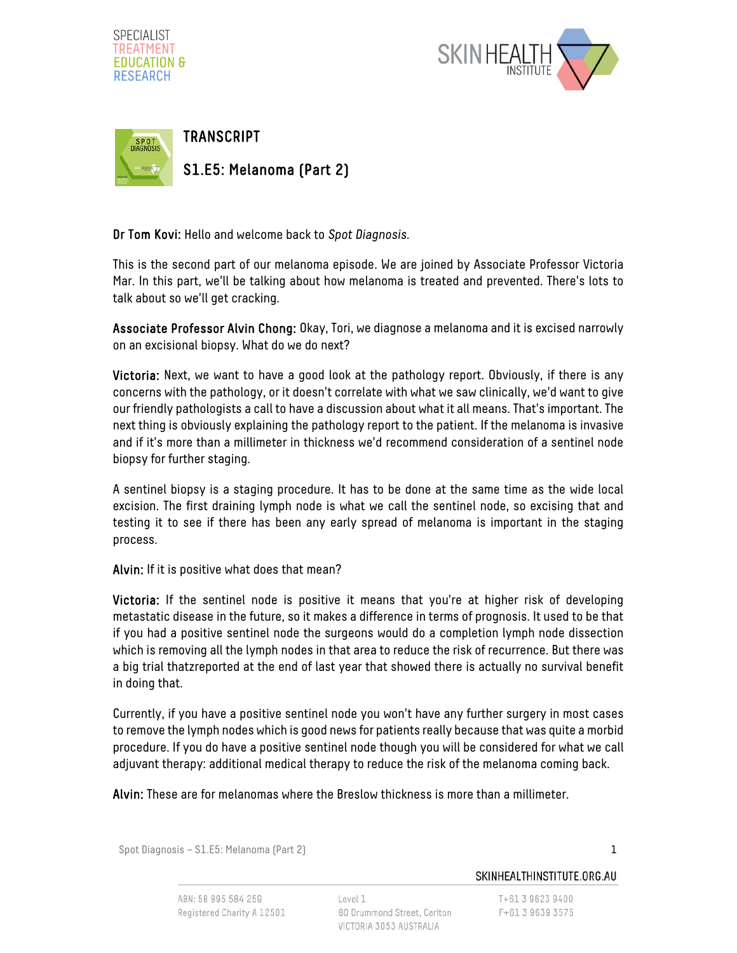





Dr Tom Kovi: Hello and welcome back to Spot Diagnosis.

This is the second part of our melanoma episode. We are joined by Associate Professor Victoria Mar. In this part, we'll be talking about how melanoma is treated and prevented. There's lots to talk about so we'll get cracking.

Associate Professor Alvin Chong: Okay, Tori, we diagnose a melanoma and it is excised narrowly on an excisional biopsy. What do we do next?

Victoria: Next, we want to have a good look at the pathology report. Obviously, if there is any concerns with the pathology, or it doesn't correlate with what we saw clinically, we'd want to give our friendly pathologists a call to have a discussion about what it all means. That's important. The next thing is obviously explaining the pathology report to the patient. If the melanoma is invasive and if it's more than a millimeter in thickness we'd recommend consideration of a sentinel node biopsy for further staging.

A sentinel biopsy is a staging procedure. It has to be done at the same time as the wide local excision. The first draining lymph node is what we call the sentinel node, so excising that and testing it to see if there has been any early spread of melanoma is important in the staging process.

Alvin: If it is positive what does that mean?

Victoria: If the sentinel node is positive it means that you're at higher risk of developing metastatic disease in the future, so it makes a difference in terms of prognosis. It used to be that if you had a positive sentinel node the surgeons would do a completion lymph node dissection which is removing all the lymph nodes in that area to reduce the risk of recurrence. But there was a big trial thatzreported at the end of last year that showed there is actually no survival benefit in doing that.

Currently, if you have a positive sentinel node you won't have any further surgery in most cases to remove the lymph nodes which is good news for patients really because that was quite a morbid procedure. If you do have a positive sentinel node though you will be considered for what we call adjuvant therapy: additional medical therapy to reduce the risk of the melanoma coming back.

Alvin: These are for melanomas where the Breslow thickness is more than a millimeter.

Spot Diagnosis – S1.E5: Melanoma (Part 2) 1

ABN: 58 895 584 259 Registered Charity A 12501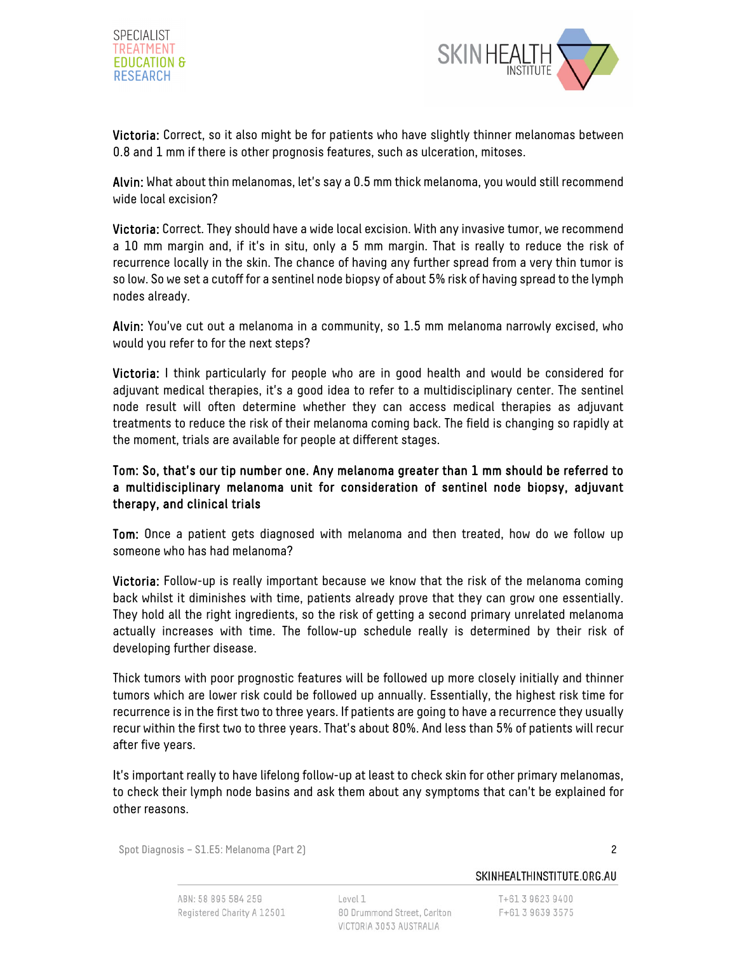



Victoria: Correct, so it also might be for patients who have slightly thinner melanomas between 0.8 and 1 mm if there is other prognosis features, such as ulceration, mitoses.

Alvin: What about thin melanomas, let's say a 0.5 mm thick melanoma, you would still recommend wide local excision?

Victoria: Correct. They should have a wide local excision. With any invasive tumor, we recommend a 10 mm margin and, if it's in situ, only a 5 mm margin. That is really to reduce the risk of recurrence locally in the skin. The chance of having any further spread from a very thin tumor is so low. So we set a cutoff for a sentinel node biopsy of about 5% risk of having spread to the lymph nodes already.

Alvin: You've cut out a melanoma in a community, so 1.5 mm melanoma narrowly excised, who would you refer to for the next steps?

Victoria: I think particularly for people who are in good health and would be considered for adjuvant medical therapies, it's a good idea to refer to a multidisciplinary center. The sentinel node result will often determine whether they can access medical therapies as adjuvant treatments to reduce the risk of their melanoma coming back. The field is changing so rapidly at the moment, trials are available for people at different stages.

## Tom: So, that's our tip number one. Any melanoma greater than 1 mm should be referred to a multidisciplinary melanoma unit for consideration of sentinel node biopsy, adjuvant therapy, and clinical trials

Tom: Once a patient gets diagnosed with melanoma and then treated, how do we follow up someone who has had melanoma?

Victoria: Follow-up is really important because we know that the risk of the melanoma coming back whilst it diminishes with time, patients already prove that they can grow one essentially. They hold all the right ingredients, so the risk of getting a second primary unrelated melanoma actually increases with time. The follow-up schedule really is determined by their risk of developing further disease.

Thick tumors with poor prognostic features will be followed up more closely initially and thinner tumors which are lower risk could be followed up annually. Essentially, the highest risk time for recurrence is in the first two to three years. If patients are going to have a recurrence they usually recur within the first two to three years. That's about 80%. And less than 5% of patients will recur after five years.

It's important really to have lifelong follow-up at least to check skin for other primary melanomas, to check their lymph node basins and ask them about any symptoms that can't be explained for other reasons.

Spot Diagnosis – S1.E5: Melanoma (Part 2) 2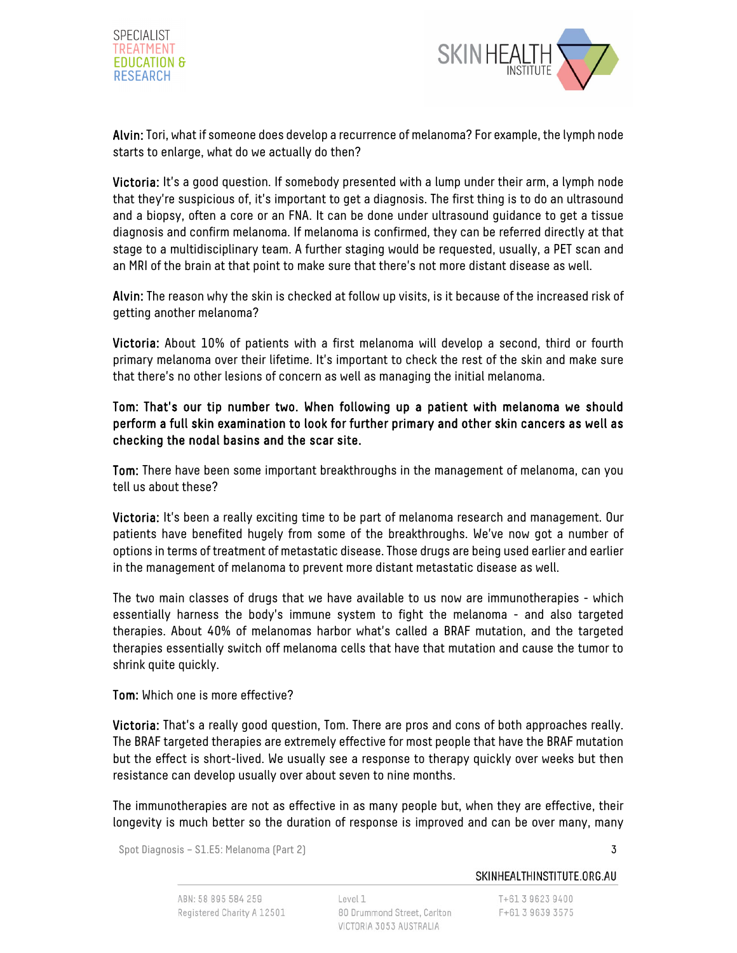



Alvin: Tori, what if someone does develop a recurrence of melanoma? For example, the lymph node starts to enlarge, what do we actually do then?

Victoria: It's a good question. If somebody presented with a lump under their arm, a lymph node that they're suspicious of, it's important to get a diagnosis. The first thing is to do an ultrasound and a biopsy, often a core or an FNA. It can be done under ultrasound guidance to get a tissue diagnosis and confirm melanoma. If melanoma is confirmed, they can be referred directly at that stage to a multidisciplinary team. A further staging would be requested, usually, a PET scan and an MRI of the brain at that point to make sure that there's not more distant disease as well.

Alvin: The reason why the skin is checked at follow up visits, is it because of the increased risk of getting another melanoma?

Victoria: About 10% of patients with a first melanoma will develop a second, third or fourth primary melanoma over their lifetime. It's important to check the rest of the skin and make sure that there's no other lesions of concern as well as managing the initial melanoma.

## Tom: That's our tip number two. When following up a patient with melanoma we should perform a full skin examination to look for further primary and other skin cancers as well as checking the nodal basins and the scar site.

Tom: There have been some important breakthroughs in the management of melanoma, can you tell us about these?

Victoria: It's been a really exciting time to be part of melanoma research and management. Our patients have benefited hugely from some of the breakthroughs. We've now got a number of options in terms of treatment of metastatic disease. Those drugs are being used earlier and earlier in the management of melanoma to prevent more distant metastatic disease as well.

The two main classes of drugs that we have available to us now are immunotherapies - which essentially harness the body's immune system to fight the melanoma - and also targeted therapies. About 40% of melanomas harbor what's called a BRAF mutation, and the targeted therapies essentially switch off melanoma cells that have that mutation and cause the tumor to shrink quite quickly.

Tom: Which one is more effective?

Victoria: That's a really good question, Tom. There are pros and cons of both approaches really. The BRAF targeted therapies are extremely effective for most people that have the BRAF mutation but the effect is short-lived. We usually see a response to therapy quickly over weeks but then resistance can develop usually over about seven to nine months.

The immunotherapies are not as effective in as many people but, when they are effective, their longevity is much better so the duration of response is improved and can be over many, many

Spot Diagnosis – S1.E5: Melanoma (Part 2) 3

SKINHEALTHINSTITUTE.ORG.AU

T+61 3 9623 9400 F+61 3 9639 3575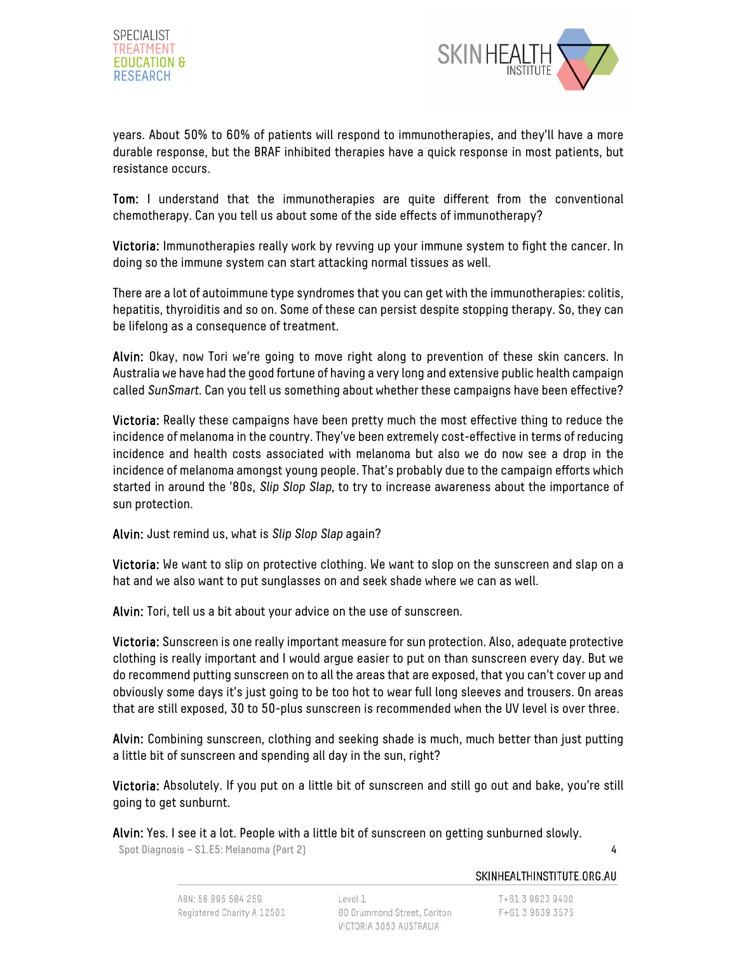



years. About 50% to 60% of patients will respond to immunotherapies, and they'll have a more durable response, but the BRAF inhibited therapies have a quick response in most patients, but resistance occurs.

Tom: I understand that the immunotherapies are quite different from the conventional chemotherapy. Can you tell us about some of the side effects of immunotherapy?

Victoria: Immunotherapies really work by revving up your immune system to fight the cancer. In doing so the immune system can start attacking normal tissues as well.

There are a lot of autoimmune type syndromes that you can get with the immunotherapies: colitis, hepatitis, thyroiditis and so on. Some of these can persist despite stopping therapy. So, they can be lifelong as a consequence of treatment.

Alvin: Okay, now Tori we're going to move right along to prevention of these skin cancers. In Australia we have had the good fortune of having a very long and extensive public health campaign called SunSmart. Can you tell us something about whether these campaigns have been effective?

Victoria: Really these campaigns have been pretty much the most effective thing to reduce the incidence of melanoma in the country. They've been extremely cost-effective in terms of reducing incidence and health costs associated with melanoma but also we do now see a drop in the incidence of melanoma amongst young people. That's probably due to the campaign efforts which started in around the '80s, Slip Slop Slap, to try to increase awareness about the importance of sun protection.

Alvin: Just remind us, what is Slip Slop Slap again?

Victoria: We want to slip on protective clothing. We want to slop on the sunscreen and slap on a hat and we also want to put sunglasses on and seek shade where we can as well.

Alvin: Tori, tell us a bit about your advice on the use of sunscreen.

Victoria: Sunscreen is one really important measure for sun protection. Also, adequate protective clothing is really important and I would argue easier to put on than sunscreen every day. But we do recommend putting sunscreen on to all the areas that are exposed, that you can't cover up and obviously some days it's just going to be too hot to wear full long sleeves and trousers. On areas that are still exposed, 30 to 50-plus sunscreen is recommended when the UV level is over three.

Alvin: Combining sunscreen, clothing and seeking shade is much, much better than just putting a little bit of sunscreen and spending all day in the sun, right?

Victoria: Absolutely. If you put on a little bit of sunscreen and still go out and bake, you're still going to get sunburnt.

Alvin: Yes. I see it a lot. People with a little bit of sunscreen on getting sunburned slowly.

Spot Diagnosis – S1.E5: Melanoma (Part 2) 4

T+61 3 9623 9400 F+61 3 9639 3575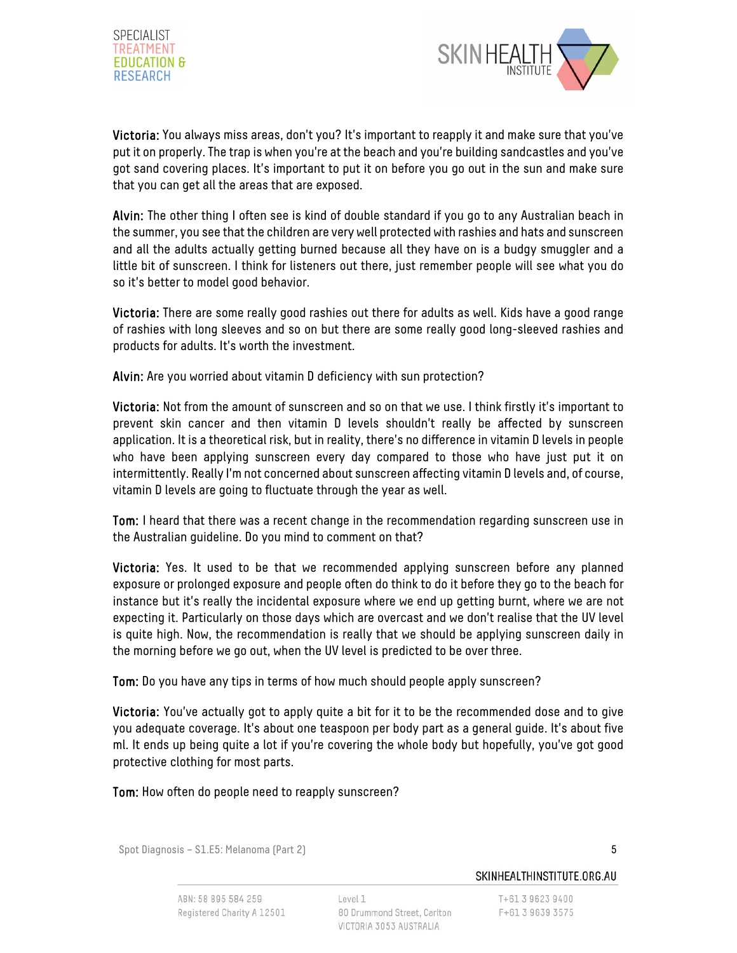



Victoria: You always miss areas, don't you? It's important to reapply it and make sure that you've put it on properly. The trap is when you're at the beach and you're building sandcastles and you've got sand covering places. It's important to put it on before you go out in the sun and make sure that you can get all the areas that are exposed.

Alvin: The other thing I often see is kind of double standard if you go to any Australian beach in the summer, you see that the children are very well protected with rashies and hats and sunscreen and all the adults actually getting burned because all they have on is a budgy smuggler and a little bit of sunscreen. I think for listeners out there, just remember people will see what you do so it's better to model good behavior.

Victoria: There are some really good rashies out there for adults as well. Kids have a good range of rashies with long sleeves and so on but there are some really good long-sleeved rashies and products for adults. It's worth the investment.

Alvin: Are you worried about vitamin D deficiency with sun protection?

Victoria: Not from the amount of sunscreen and so on that we use. I think firstly it's important to prevent skin cancer and then vitamin D levels shouldn't really be affected by sunscreen application. It is a theoretical risk, but in reality, there's no difference in vitamin D levels in people who have been applying sunscreen every day compared to those who have just put it on intermittently. Really I'm not concerned about sunscreen affecting vitamin D levels and, of course, vitamin D levels are going to fluctuate through the year as well.

Tom: I heard that there was a recent change in the recommendation regarding sunscreen use in the Australian guideline. Do you mind to comment on that?

Victoria: Yes. It used to be that we recommended applying sunscreen before any planned exposure or prolonged exposure and people often do think to do it before they go to the beach for instance but it's really the incidental exposure where we end up getting burnt, where we are not expecting it. Particularly on those days which are overcast and we don't realise that the UV level is quite high. Now, the recommendation is really that we should be applying sunscreen daily in the morning before we go out, when the UV level is predicted to be over three.

Tom: Do you have any tips in terms of how much should people apply sunscreen?

Victoria: You've actually got to apply quite a bit for it to be the recommended dose and to give you adequate coverage. It's about one teaspoon per body part as a general guide. It's about five ml. It ends up being quite a lot if you're covering the whole body but hopefully, you've got good protective clothing for most parts.

Tom: How often do people need to reapply sunscreen?

Spot Diagnosis – S1.E5: Melanoma (Part 2) 5

T+61 3 9623 9400

F+61 3 9639 3575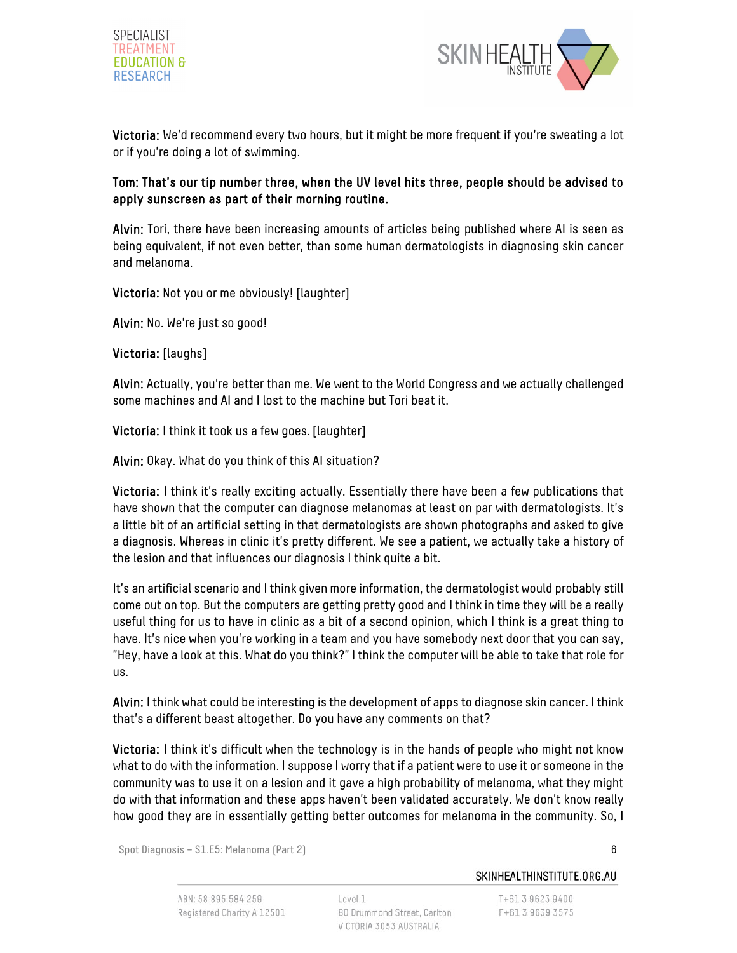



Victoria: We'd recommend every two hours, but it might be more frequent if you're sweating a lot or if you're doing a lot of swimming.

## Tom: That's our tip number three, when the UV level hits three, people should be advised to apply sunscreen as part of their morning routine.

Alvin: Tori, there have been increasing amounts of articles being published where AI is seen as being equivalent, if not even better, than some human dermatologists in diagnosing skin cancer and melanoma.

Victoria: Not you or me obviously! [laughter]

Alvin: No. We're just so good!

Victoria: [laughs]

Alvin: Actually, you're better than me. We went to the World Congress and we actually challenged some machines and AI and I lost to the machine but Tori beat it.

Victoria: I think it took us a few goes. [laughter]

Alvin: Okay. What do you think of this AI situation?

Victoria: I think it's really exciting actually. Essentially there have been a few publications that have shown that the computer can diagnose melanomas at least on par with dermatologists. It's a little bit of an artificial setting in that dermatologists are shown photographs and asked to give a diagnosis. Whereas in clinic it's pretty different. We see a patient, we actually take a history of the lesion and that influences our diagnosis I think quite a bit.

It's an artificial scenario and I think given more information, the dermatologist would probably still come out on top. But the computers are getting pretty good and I think in time they will be a really useful thing for us to have in clinic as a bit of a second opinion, which I think is a great thing to have. It's nice when you're working in a team and you have somebody next door that you can say, "Hey, have a look at this. What do you think?" I think the computer will be able to take that role for us.

Alvin: I think what could be interesting is the development of apps to diagnose skin cancer. I think that's a different beast altogether. Do you have any comments on that?

Victoria: I think it's difficult when the technology is in the hands of people who might not know what to do with the information. I suppose I worry that if a patient were to use it or someone in the community was to use it on a lesion and it gave a high probability of melanoma, what they might do with that information and these apps haven't been validated accurately. We don't know really how good they are in essentially getting better outcomes for melanoma in the community. So, I

Spot Diagnosis – S1.E5: Melanoma (Part 2) 6